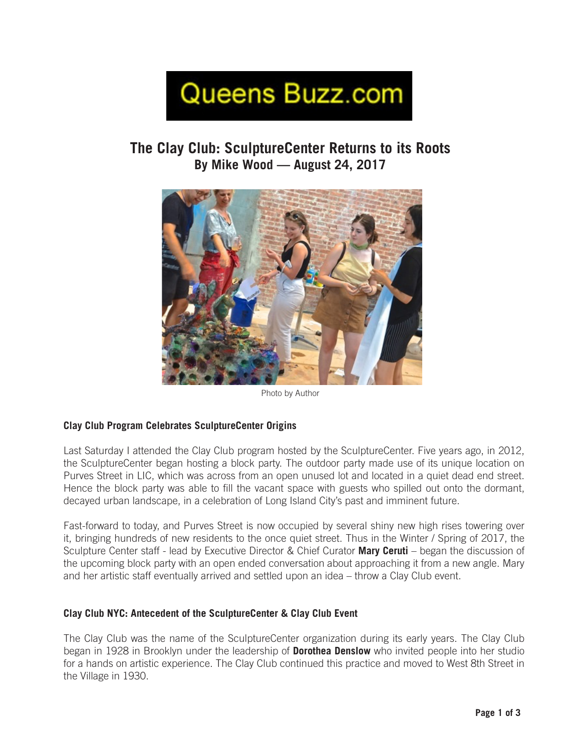# Queens Buzz.com

# **The Clay Club: SculptureCenter Returns to its Roots By Mike Wood — August 24, 2017**



Photo by Author

# **Clay Club Program Celebrates SculptureCenter Origins**

Last Saturday I attended the Clay Club program hosted by the SculptureCenter. Five years ago, in 2012, the SculptureCenter began hosting a block party. The outdoor party made use of its unique location on Purves Street in LIC, which was across from an open unused lot and located in a quiet dead end street. Hence the block party was able to fill the vacant space with guests who spilled out onto the dormant, decayed urban landscape, in a celebration of Long Island City's past and imminent future.

Fast-forward to today, and Purves Street is now occupied by several shiny new high rises towering over it, bringing hundreds of new residents to the once quiet street. Thus in the Winter / Spring of 2017, the Sculpture Center staff - lead by Executive Director & Chief Curator **Mary Ceruti** – began the discussion of the upcoming block party with an open ended conversation about approaching it from a new angle. Mary and her artistic staff eventually arrived and settled upon an idea – throw a Clay Club event.

#### **Clay Club NYC: Antecedent of the SculptureCenter & Clay Club Event**

The Clay Club was the name of the SculptureCenter organization during its early years. The Clay Club began in 1928 in Brooklyn under the leadership of **Dorothea Denslow** who invited people into her studio for a hands on artistic experience. The Clay Club continued this practice and moved to West 8th Street in the Village in 1930.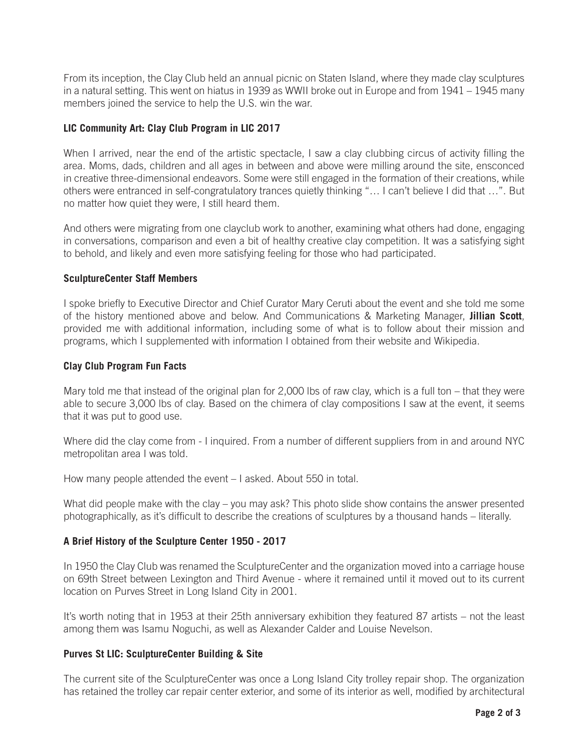From its inception, the Clay Club held an annual picnic on Staten Island, where they made clay sculptures in a natural setting. This went on hiatus in 1939 as WWII broke out in Europe and from 1941 – 1945 many members joined the service to help the U.S. win the war.

#### **LIC Community Art: Clay Club Program in LIC 2017**

When I arrived, near the end of the artistic spectacle, I saw a clay clubbing circus of activity filling the area. Moms, dads, children and all ages in between and above were milling around the site, ensconced in creative three-dimensional endeavors. Some were still engaged in the formation of their creations, while others were entranced in self-congratulatory trances quietly thinking "… I can't believe I did that …". But no matter how quiet they were, I still heard them.

And others were migrating from one clayclub work to another, examining what others had done, engaging in conversations, comparison and even a bit of healthy creative clay competition. It was a satisfying sight to behold, and likely and even more satisfying feeling for those who had participated.

#### **SculptureCenter Staff Members**

I spoke briefly to Executive Director and Chief Curator Mary Ceruti about the event and she told me some of the history mentioned above and below. And Communications & Marketing Manager, **Jillian Scott**, provided me with additional information, including some of what is to follow about their mission and programs, which I supplemented with information I obtained from their website and Wikipedia.

#### **Clay Club Program Fun Facts**

Mary told me that instead of the original plan for 2,000 lbs of raw clay, which is a full ton – that they were able to secure 3,000 lbs of clay. Based on the chimera of clay compositions I saw at the event, it seems that it was put to good use.

Where did the clay come from - I inquired. From a number of different suppliers from in and around NYC metropolitan area I was told.

How many people attended the event – I asked. About 550 in total.

What did people make with the clay – you may ask? This photo slide show contains the answer presented photographically, as it's difficult to describe the creations of sculptures by a thousand hands – literally.

# **A Brief History of the Sculpture Center 1950 - 2017**

In 1950 the Clay Club was renamed the SculptureCenter and the organization moved into a carriage house on 69th Street between Lexington and Third Avenue - where it remained until it moved out to its current location on Purves Street in Long Island City in 2001.

It's worth noting that in 1953 at their 25th anniversary exhibition they featured 87 artists – not the least among them was Isamu Noguchi, as well as Alexander Calder and Louise Nevelson.

# **Purves St LIC: SculptureCenter Building & Site**

The current site of the SculptureCenter was once a Long Island City trolley repair shop. The organization has retained the trolley car repair center exterior, and some of its interior as well, modified by architectural